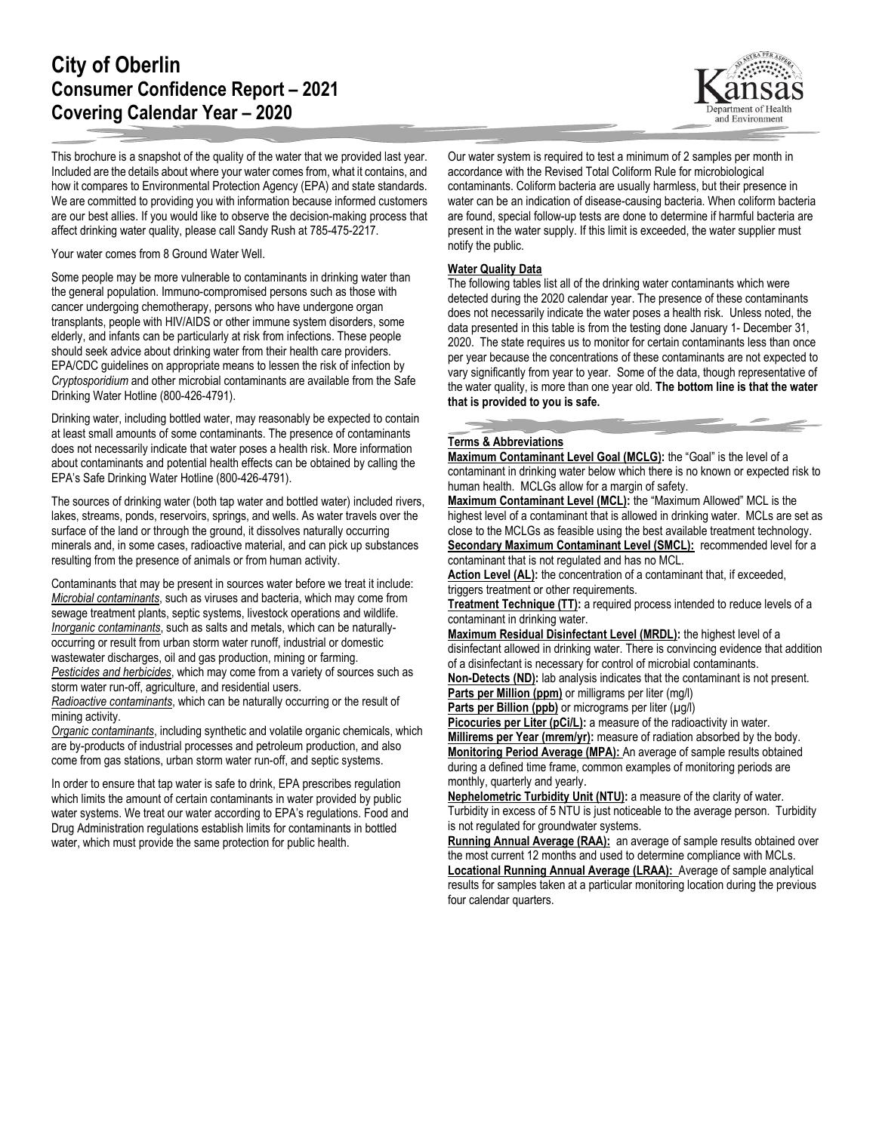# **City of Oberlin Consumer Confidence Report – 2021 Covering Calendar Year – 2020**

This brochure is a snapshot of the quality of the water that we provided last year. Included are the details about where your water comes from, what it contains, and how it compares to Environmental Protection Agency (EPA) and state standards. We are committed to providing you with information because informed customers are our best allies. If you would like to observe the decision-making process that affect drinking water quality, please call Sandy Rush at 785-475-2217.

Your water comes from 8 Ground Water Well.

Some people may be more vulnerable to contaminants in drinking water than the general population. Immuno-compromised persons such as those with cancer undergoing chemotherapy, persons who have undergone organ transplants, people with HIV/AIDS or other immune system disorders, some elderly, and infants can be particularly at risk from infections. These people should seek advice about drinking water from their health care providers. EPA/CDC guidelines on appropriate means to lessen the risk of infection by *Cryptosporidium* and other microbial contaminants are available from the Safe Drinking Water Hotline (800-426-4791).

Drinking water, including bottled water, may reasonably be expected to contain at least small amounts of some contaminants. The presence of contaminants does not necessarily indicate that water poses a health risk. More information about contaminants and potential health effects can be obtained by calling the EPA's Safe Drinking Water Hotline (800-426-4791).

The sources of drinking water (both tap water and bottled water) included rivers, lakes, streams, ponds, reservoirs, springs, and wells. As water travels over the surface of the land or through the ground, it dissolves naturally occurring minerals and, in some cases, radioactive material, and can pick up substances resulting from the presence of animals or from human activity.

Contaminants that may be present in sources water before we treat it include: *Microbial contaminants*, such as viruses and bacteria, which may come from sewage treatment plants, septic systems, livestock operations and wildlife. *Inorganic contaminants*, such as salts and metals, which can be naturallyoccurring or result from urban storm water runoff, industrial or domestic wastewater discharges, oil and gas production, mining or farming. *Pesticides and herbicides*, which may come from a variety of sources such as storm water run-off, agriculture, and residential users.

*Radioactive contaminants*, which can be naturally occurring or the result of mining activity.

*Organic contaminants*, including synthetic and volatile organic chemicals, which are by-products of industrial processes and petroleum production, and also come from gas stations, urban storm water run-off, and septic systems.

In order to ensure that tap water is safe to drink, EPA prescribes regulation which limits the amount of certain contaminants in water provided by public water systems. We treat our water according to EPA's regulations. Food and Drug Administration regulations establish limits for contaminants in bottled water, which must provide the same protection for public health.

Our water system is required to test a minimum of 2 samples per month in accordance with the Revised Total Coliform Rule for microbiological contaminants. Coliform bacteria are usually harmless, but their presence in water can be an indication of disease-causing bacteria. When coliform bacteria are found, special follow-up tests are done to determine if harmful bacteria are present in the water supply. If this limit is exceeded, the water supplier must notify the public.

## **Water Quality Data**

The following tables list all of the drinking water contaminants which were detected during the 2020 calendar year. The presence of these contaminants does not necessarily indicate the water poses a health risk. Unless noted, the data presented in this table is from the testing done January 1- December 31, 2020. The state requires us to monitor for certain contaminants less than once per year because the concentrations of these contaminants are not expected to vary significantly from year to year. Some of the data, though representative of the water quality, is more than one year old. **The bottom line is that the water that is provided to you is safe.**

### **Terms & Abbreviations**

**Maximum Contaminant Level Goal (MCLG):** the "Goal" is the level of a contaminant in drinking water below which there is no known or expected risk to human health. MCLGs allow for a margin of safety.

**Maximum Contaminant Level (MCL):** the "Maximum Allowed" MCL is the highest level of a contaminant that is allowed in drinking water. MCLs are set as close to the MCLGs as feasible using the best available treatment technology. **Secondary Maximum Contaminant Level (SMCL):** recommended level for a contaminant that is not regulated and has no MCL.

Action Level (AL): the concentration of a contaminant that, if exceeded, triggers treatment or other requirements.

**Treatment Technique (TT):** a required process intended to reduce levels of a contaminant in drinking water.

**Maximum Residual Disinfectant Level (MRDL):** the highest level of a disinfectant allowed in drinking water. There is convincing evidence that addition of a disinfectant is necessary for control of microbial contaminants.

**Non-Detects (ND):** lab analysis indicates that the contaminant is not present. **Parts per Million (ppm)** or milligrams per liter (mg/l)

Parts per Billion (ppb) or micrograms per liter (µg/l)

Picocuries per Liter (pCi/L): a measure of the radioactivity in water. Millirems per Year (mrem/yr): measure of radiation absorbed by the body. **Monitoring Period Average (MPA):** An average of sample results obtained

during a defined time frame, common examples of monitoring periods are monthly, quarterly and yearly.

**Nephelometric Turbidity Unit (NTU):** a measure of the clarity of water. Turbidity in excess of 5 NTU is just noticeable to the average person. Turbidity is not regulated for groundwater systems.

**Running Annual Average (RAA):** an average of sample results obtained over the most current 12 months and used to determine compliance with MCLs.

**Locational Running Annual Average (LRAA):** Average of sample analytical results for samples taken at a particular monitoring location during the previous four calendar quarters.